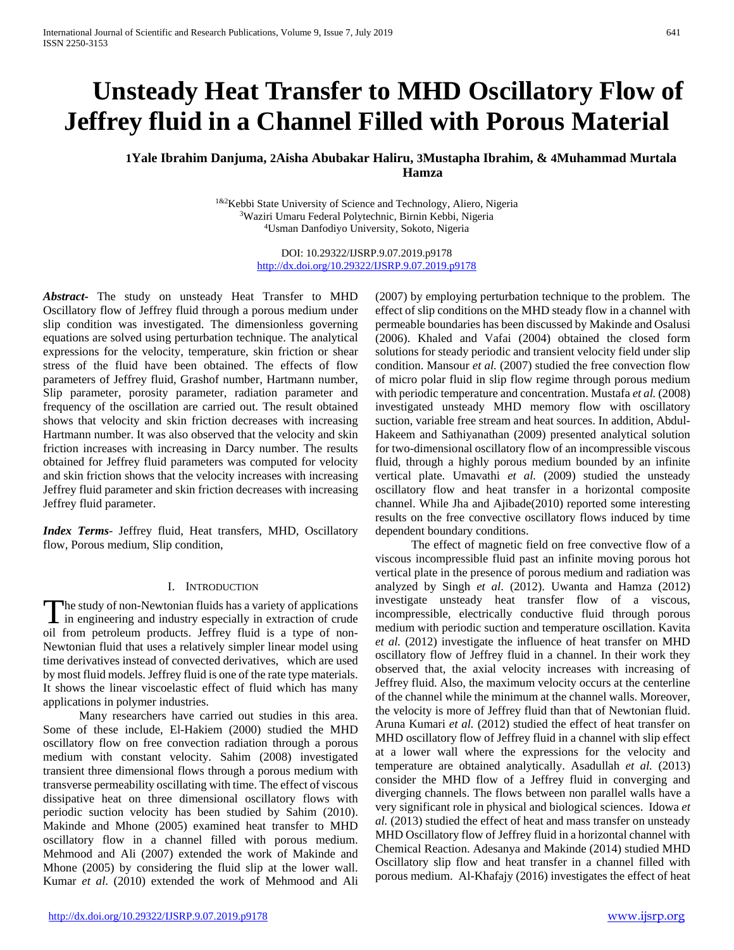# **Unsteady Heat Transfer to MHD Oscillatory Flow of Jeffrey fluid in a Channel Filled with Porous Material**

## **1Yale Ibrahim Danjuma, 2Aisha Abubakar Haliru, 3Mustapha Ibrahim, & 4Muhammad Murtala Hamza**

1&2Kebbi State University of Science and Technology, Aliero, Nigeria 3Waziri Umaru Federal Polytechnic, Birnin Kebbi, Nigeria 4Usman Danfodiyo University, Sokoto, Nigeria

> DOI: 10.29322/IJSRP.9.07.2019.p9178 <http://dx.doi.org/10.29322/IJSRP.9.07.2019.p9178>

*Abstract***-** The study on unsteady Heat Transfer to MHD Oscillatory flow of Jeffrey fluid through a porous medium under slip condition was investigated. The dimensionless governing equations are solved using perturbation technique. The analytical expressions for the velocity, temperature, skin friction or shear stress of the fluid have been obtained. The effects of flow parameters of Jeffrey fluid, Grashof number, Hartmann number, Slip parameter, porosity parameter, radiation parameter and frequency of the oscillation are carried out. The result obtained shows that velocity and skin friction decreases with increasing Hartmann number. It was also observed that the velocity and skin friction increases with increasing in Darcy number. The results obtained for Jeffrey fluid parameters was computed for velocity and skin friction shows that the velocity increases with increasing Jeffrey fluid parameter and skin friction decreases with increasing Jeffrey fluid parameter.

*Index Terms*- Jeffrey fluid, Heat transfers, MHD, Oscillatory flow, Porous medium, Slip condition,

### I. INTRODUCTION

The study of non-Newtonian fluids has a variety of applications The study of non-Newtonian fluids has a variety of applications<br>in engineering and industry especially in extraction of crude oil from petroleum products. Jeffrey fluid is a type of non-Newtonian fluid that uses a relatively simpler linear model using time derivatives instead of convected derivatives, which are used by most fluid models. Jeffrey fluid is one of the rate type materials. It shows the linear viscoelastic effect of fluid which has many applications in polymer industries.

 Many researchers have carried out studies in this area. Some of these include, El-Hakiem (2000) studied the MHD oscillatory flow on free convection radiation through a porous medium with constant velocity. Sahim (2008) investigated transient three dimensional flows through a porous medium with transverse permeability oscillating with time. The effect of viscous dissipative heat on three dimensional oscillatory flows with periodic suction velocity has been studied by Sahim (2010). Makinde and Mhone (2005) examined heat transfer to MHD oscillatory flow in a channel filled with porous medium. Mehmood and Ali (2007) extended the work of Makinde and Mhone (2005) by considering the fluid slip at the lower wall. Kumar *et al*. (2010) extended the work of Mehmood and Ali

(2007) by employing perturbation technique to the problem. The effect of slip conditions on the MHD steady flow in a channel with permeable boundaries has been discussed by Makinde and Osalusi (2006). Khaled and Vafai (2004) obtained the closed form solutions for steady periodic and transient velocity field under slip condition. Mansour *et al.* (2007) studied the free convection flow of micro polar fluid in slip flow regime through porous medium with periodic temperature and concentration. Mustafa *et al.* (2008) investigated unsteady MHD memory flow with oscillatory suction, variable free stream and heat sources. In addition, Abdul-Hakeem and Sathiyanathan (2009) presented analytical solution for two-dimensional oscillatory flow of an incompressible viscous fluid, through a highly porous medium bounded by an infinite vertical plate. Umavathi *et al.* (2009) studied the unsteady oscillatory flow and heat transfer in a horizontal composite channel. While Jha and Ajibade(2010) reported some interesting results on the free convective oscillatory flows induced by time dependent boundary conditions.

 The effect of magnetic field on free convective flow of a viscous incompressible fluid past an infinite moving porous hot vertical plate in the presence of porous medium and radiation was analyzed by Singh *et al*. (2012). Uwanta and Hamza (2012) investigate unsteady heat transfer flow of a viscous, incompressible, electrically conductive fluid through porous medium with periodic suction and temperature oscillation. Kavita *et al.* (2012) investigate the influence of heat transfer on MHD oscillatory flow of Jeffrey fluid in a channel. In their work they observed that, the axial velocity increases with increasing of Jeffrey fluid. Also, the maximum velocity occurs at the centerline of the channel while the minimum at the channel walls. Moreover, the velocity is more of Jeffrey fluid than that of Newtonian fluid. Aruna Kumari *et al.* (2012) studied the effect of heat transfer on MHD oscillatory flow of Jeffrey fluid in a channel with slip effect at a lower wall where the expressions for the velocity and temperature are obtained analytically. Asadullah *et al.* (2013) consider the MHD flow of a Jeffrey fluid in converging and diverging channels. The flows between non parallel walls have a very significant role in physical and biological sciences. Idowa *et al.* (2013) studied the effect of heat and mass transfer on unsteady MHD Oscillatory flow of Jeffrey fluid in a horizontal channel with Chemical Reaction. Adesanya and Makinde (2014) studied MHD Oscillatory slip flow and heat transfer in a channel filled with porous medium. Al-Khafajy (2016) investigates the effect of heat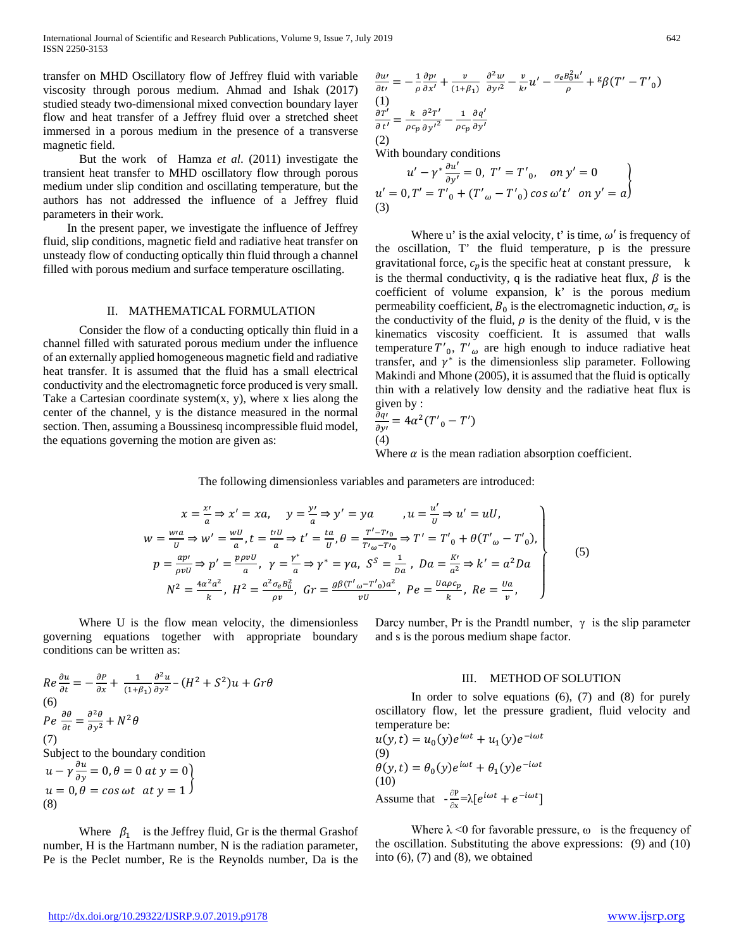transfer on MHD Oscillatory flow of Jeffrey fluid with variable viscosity through porous medium. Ahmad and Ishak (2017) studied steady two-dimensional mixed convection boundary layer flow and heat transfer of a Jeffrey fluid over a stretched sheet immersed in a porous medium in the presence of a transverse magnetic field.

 But the work of Hamza *et al*. (2011) investigate the transient heat transfer to MHD oscillatory flow through porous medium under slip condition and oscillating temperature, but the authors has not addressed the influence of a Jeffrey fluid parameters in their work.

 In the present paper, we investigate the influence of Jeffrey fluid, slip conditions, magnetic field and radiative heat transfer on unsteady flow of conducting optically thin fluid through a channel filled with porous medium and surface temperature oscillating.

#### II. MATHEMATICAL FORMULATION

 Consider the flow of a conducting optically thin fluid in a channel filled with saturated porous medium under the influence of an externally applied homogeneous magnetic field and radiative heat transfer. It is assumed that the fluid has a small electrical conductivity and the electromagnetic force produced is very small. Take a Cartesian coordinate system $(x, y)$ , where x lies along the center of the channel, y is the distance measured in the normal section. Then, assuming a Boussinesq incompressible fluid model, the equations governing the motion are given as:

$$
\frac{\partial u}{\partial t'} = -\frac{1}{\rho} \frac{\partial p'}{\partial x'} + \frac{v}{(1+\beta_1)} \frac{\partial^2 u'}{\partial y'^2} - \frac{v}{k'} u' - \frac{\sigma_e B_0^2 u'}{\rho} + {^g\beta} (T' - T'_{0})
$$
\n(1)\n
$$
\frac{\partial T'}{\partial t'} = \frac{k}{\rho c_p} \frac{\partial^2 T'}{\partial y'^2} - \frac{1}{\rho c_p} \frac{\partial q'}{\partial y'}
$$
\n(2)

With boundary conditions

$$
u' - \gamma^* \frac{\partial u'}{\partial y'} = 0, \ T' = T'_{0}, \quad on \ y' = 0
$$
  
 
$$
u' = 0, T' = T'_{0} + (T'_{\omega} - T'_{0}) \cos \omega' t' \quad on \ y' = a
$$
  
(3)

Where u' is the axial velocity, t' is time,  $\omega'$  is frequency of the oscillation, T' the fluid temperature, p is the pressure gravitational force,  $c_p$  is the specific heat at constant pressure, k is the thermal conductivity, q is the radiative heat flux,  $\beta$  is the coefficient of volume expansion, k' is the porous medium permeability coefficient,  $B_0$  is the electromagnetic induction,  $\sigma_e$  is the conductivity of the fluid,  $\rho$  is the denity of the fluid, v is the kinematics viscosity coefficient. It is assumed that walls temperature  $T'_{0}$ ,  $T'_{\omega}$  are high enough to induce radiative heat transfer, and  $\gamma^*$  is the dimensionless slip parameter. Following Makindi and Mhone (2005), it is assumed that the fluid is optically thin with a relatively low density and the radiative heat flux is given by :

$$
\frac{\partial q}{\partial y'} = 4\alpha^2 (T'_{0} - T')
$$
  
(4)

Where  $\alpha$  is the mean radiation absorption coefficient.

The following dimensionless variables and parameters are introduced:

$$
x = \frac{x'}{a} \Rightarrow x' = xa, \quad y = \frac{y'}{a} \Rightarrow y' = ya, \quad a = \frac{u'}{b} \Rightarrow u' = uU,
$$
  
\n
$$
w = \frac{wa}{u} \Rightarrow w' = \frac{wU}{a}, t = \frac{tvU}{a} \Rightarrow t' = \frac{ta}{u}, \theta = \frac{T'-T'}{T' \omega - T' \omega} \Rightarrow T' = T' \omega + \theta (T' \omega - T' \omega),
$$
  
\n
$$
p = \frac{ap'}{\rho vU} \Rightarrow p' = \frac{p\rho vU}{a}, \quad \gamma = \frac{\gamma^*}{a} \Rightarrow \gamma^* = \gamma a, \quad S^S = \frac{1}{Da}, \quad Da = \frac{K'}{a^2} \Rightarrow k' = a^2 Da
$$
  
\n
$$
N^2 = \frac{4\alpha^2 a^2}{k}, \quad H^2 = \frac{a^2 \sigma_e B_0^2}{\rho v}, \quad Gr = \frac{g\beta (T'\omega - T'\omega)a^2}{vU}, \quad Pe = \frac{u a \rho c_p}{k}, \quad Re = \frac{u a}{v},
$$
\n(5)

 Where U is the flow mean velocity, the dimensionless governing equations together with appropriate boundary conditions can be written as:

$$
Re \frac{\partial u}{\partial t} = -\frac{\partial P}{\partial x} + \frac{1}{(1+\beta_1)} \frac{\partial^2 u}{\partial y^2} - (H^2 + S^2)u + Gr\theta
$$
  
(6)  

$$
Pe \frac{\partial \theta}{\partial t} = \frac{\partial^2 \theta}{\partial y^2} + N^2 \theta
$$
  
(7)  
Subject to the boundary condition  

$$
u - \gamma \frac{\partial u}{\partial y} = 0, \theta = 0 \text{ at } y = 0
$$
  

$$
u = 0, \theta = \cos \omega t \text{ at } y = 1
$$
  
(8)

Where  $\beta_1$  is the Jeffrey fluid, Gr is the thermal Grashof number, H is the Hartmann number, N is the radiation parameter, Pe is the Peclet number, Re is the Reynolds number, Da is the Darcy number, Pr is the Prandtl number,  $\gamma$  is the slip parameter and s is the porous medium shape factor.

#### III. METHOD OF SOLUTION

In order to solve equations  $(6)$ ,  $(7)$  and  $(8)$  for purely oscillatory flow, let the pressure gradient, fluid velocity and temperature be:

$$
u(y, t) = u_0(y)e^{i\omega t} + u_1(y)e^{-i\omega t}
$$
  
(9)  

$$
\theta(y, t) = \theta_0(y)e^{i\omega t} + \theta_1(y)e^{-i\omega t}
$$
  
(10)  
Assume that 
$$
-\frac{\partial P}{\partial x} = \lambda[e^{i\omega t} + e^{-i\omega t}]
$$

Where  $\lambda$  <0 for favorable pressure,  $\omega$  is the frequency of the oscillation. Substituting the above expressions: (9) and (10) into  $(6)$ ,  $(7)$  and  $(8)$ , we obtained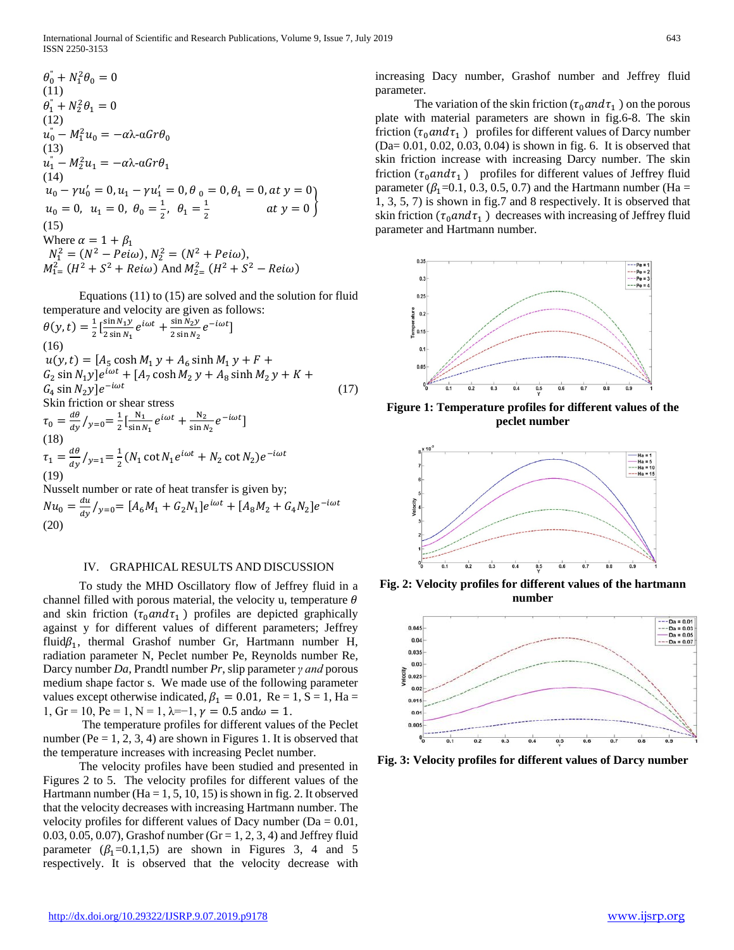International Journal of Scientific and Research Publications, Volume 9, Issue 7, July 2019 643 ISSN 2250-3153

$$
\theta_0^* + N_1^2 \theta_0 = 0
$$
\n(11)  
\n
$$
\theta_1^* + N_2^2 \theta_1 = 0
$$
\n(12)  
\n
$$
u_0^* - M_1^2 u_0 = -\alpha \lambda \alpha G r \theta_0
$$
\n(13)  
\n
$$
u_1^* - M_2^2 u_1 = -\alpha \lambda \alpha G r \theta_1
$$
\n(14)  
\n
$$
u_0 - \gamma u_0' = 0, u_1 - \gamma u_1' = 0, \theta_0 = 0, \theta_1 = 0, \alpha t \ y = 0
$$
\n
$$
u_0 = 0, u_1 = 0, \theta_0 = \frac{1}{2}, \theta_1 = \frac{1}{2} \qquad \alpha t \ y = 0
$$
\n(15)  
\nWhere  $\alpha = 1 + \beta_1$   
\n
$$
N_1^2 = (N^2 - Pei\omega), N_2^2 = (N^2 + Pei\omega),
$$
\n
$$
M_{1}^2 = (H^2 + S^2 + Rei\omega) \text{ And } M_{2}^2 = (H^2 + S^2 - Rei\omega)
$$

 Equations (11) to (15) are solved and the solution for fluid temperature and velocity are given as follows:

$$
\theta(y,t) = \frac{1}{2} \left[ \frac{\sin N_1 y}{2 \sin N_1} e^{i\omega t} + \frac{\sin N_2 y}{2 \sin N_2} e^{-i\omega t} \right]
$$
  
(16)  

$$
u(y,t) = [A_5 \cosh M_1 y + A_6 \sinh M_1 y + F + G_2 \sin N_1 y] e^{i\omega t} + [A_7 \cosh M_2 y + A_8 \sinh M_2 y + K + G_4 \sin N_2 y] e^{-i\omega t}
$$
  
17)  
Skin friction or shear stress  

$$
\tau_0 = \frac{d\theta}{dy} / y_{=0} = \frac{1}{2} \left[ \frac{N_1}{\sin N_1} e^{i\omega t} + \frac{N_2}{\sin N_2} e^{-i\omega t} \right]
$$
  
(18)  

$$
\tau_1 = \frac{d\theta}{dy} / y_{=1} = \frac{1}{2} (N_1 \cot N_1 e^{i\omega t} + N_2 \cot N_2) e^{-i\omega t}
$$
  
(19)  
Nusselt number or rate of heat transfer is given by;

 $Nu_0 = \frac{du}{dy}/y_{0} = [A_6M_1 + G_2N_1]e^{i\omega t} + [A_8M_2 + G_4N_2]e^{-i\omega t}$ (20)

#### IV. GRAPHICAL RESULTS AND DISCUSSION

 To study the MHD Oscillatory flow of Jeffrey fluid in a channel filled with porous material, the velocity u, temperature  $\theta$ and skin friction  $(\tau_0 a n d \tau_1)$  profiles are depicted graphically against y for different values of different parameters; Jeffrey fluid $\beta_1$ , thermal Grashof number Gr, Hartmann number H, radiation parameter N, Peclet number Pe, Reynolds number Re*,*  Darcy number *Da,* Prandtl number *Pr*, slip parameter *γ and* porous medium shape factor s. We made use of the following parameter values except otherwise indicated,  $\beta_1 = 0.01$ , Re = 1, S = 1, Ha = 1, Gr = 10, Pe = 1, N = 1,  $\lambda$ =-1,  $\gamma$  = 0.5 and  $\omega$  = 1.

 The temperature profiles for different values of the Peclet number (Pe = 1, 2, 3, 4) are shown in Figures 1. It is observed that the temperature increases with increasing Peclet number.

 The velocity profiles have been studied and presented in Figures 2 to 5. The velocity profiles for different values of the Hartmann number (Ha = 1, 5, 10, 15) is shown in fig. 2. It observed that the velocity decreases with increasing Hartmann number. The velocity profiles for different values of Dacy number ( $Da = 0.01$ , 0.03, 0.05, 0.07), Grashof number (Gr = 1, 2, 3, 4) and Jeffrey fluid parameter  $(\beta_1=0.1,1,5)$  are shown in Figures 3, 4 and 5 respectively. It is observed that the velocity decrease with

increasing Dacy number, Grashof number and Jeffrey fluid parameter.

The variation of the skin friction ( $\tau_0$  and  $\tau_1$ ) on the porous plate with material parameters are shown in fig.6-8. The skin friction ( $\tau_0$ and $\tau_1$ ) profiles for different values of Darcy number (Da= 0.01, 0.02, 0.03, 0.04) is shown in fig. 6. It is observed that skin friction increase with increasing Darcy number. The skin friction  $(\tau_0 a n d \tau_1)$  profiles for different values of Jeffrey fluid parameter ( $\beta_1$ =0.1, 0.3, 0.5, 0.7) and the Hartmann number (Ha = 1, 3, 5, 7) is shown in fig.7 and 8 respectively. It is observed that skin friction ( $\tau_0$ and $\tau_1$ ) decreases with increasing of Jeffrey fluid parameter and Hartmann number.



**Figure 1: Temperature profiles for different values of the peclet number**



**Fig. 2: Velocity profiles for different values of the hartmann number**



**Fig. 3: Velocity profiles for different values of Darcy number**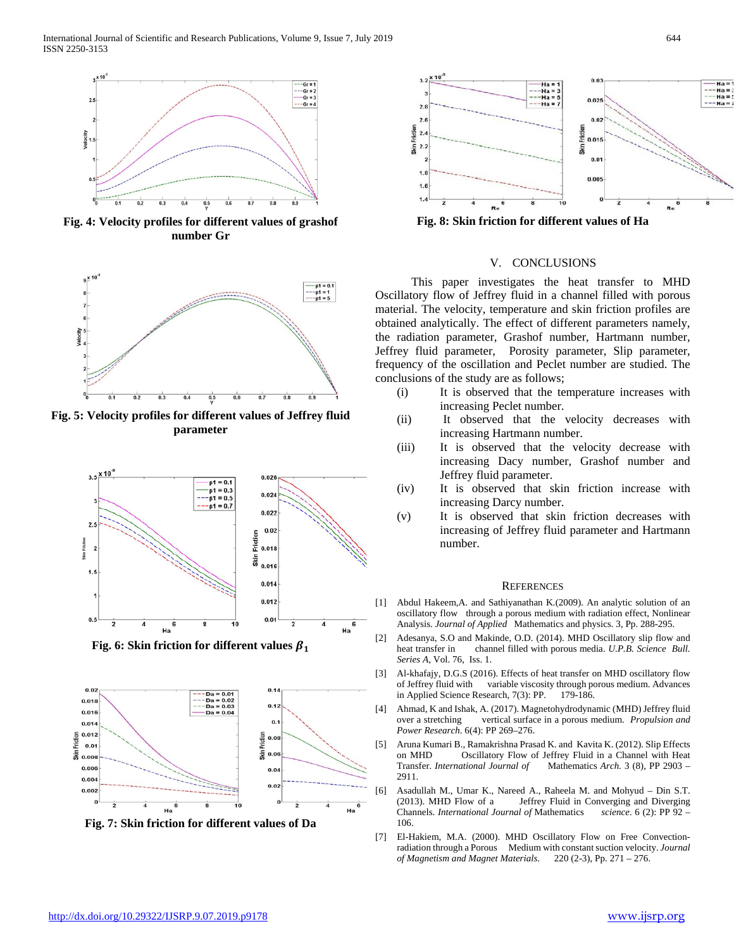

**Fig. 4: Velocity profiles for different values of grashof number Gr**



**Fig. 5: Velocity profiles for different values of Jeffrey fluid parameter**



**Fig. 6: Skin friction for different values**  $\beta_1$ 



**Fig. 7: Skin friction for different values of Da**



**Fig. 8: Skin friction for different values of Ha**

#### V. CONCLUSIONS

 This paper investigates the heat transfer to MHD Oscillatory flow of Jeffrey fluid in a channel filled with porous material. The velocity, temperature and skin friction profiles are obtained analytically. The effect of different parameters namely, the radiation parameter, Grashof number, Hartmann number, Jeffrey fluid parameter, Porosity parameter, Slip parameter, frequency of the oscillation and Peclet number are studied. The conclusions of the study are as follows;

- (i) It is observed that the temperature increases with increasing Peclet number.
- (ii) It observed that the velocity decreases with increasing Hartmann number.
- (iii) It is observed that the velocity decrease with increasing Dacy number, Grashof number and Jeffrey fluid parameter.
- (iv) It is observed that skin friction increase with increasing Darcy number.
- (v) It is observed that skin friction decreases with increasing of Jeffrey fluid parameter and Hartmann number.

#### **REFERENCES**

- [1] Abdul Hakeem,A. and Sathiyanathan K*.*(2009). An analytic solution of an oscillatory flow through a porous medium with radiation effect, Nonlinear Analysis. *Journal of Applied* Mathematics and physics. 3, Pp. 288-295.
- [2] Adesanya, S.O and Makinde, O.D. (2014). MHD Oscillatory slip flow and heat transfer in channel filled with porous media. *U.P.B. Science Bull. Series A*, Vol. 76, Iss. 1.
- [3] Al-khafajy, D.G.S (2016). Effects of heat transfer on MHD oscillatory flow of Jeffrey fluid with variable viscosity through porous medium. Advances in Applied Science Research, 7(3): PP. 179-186.
- [4] Ahmad, K and Ishak, A. (2017). Magnetohydrodynamic (MHD) Jeffrey fluid over a stretching vertical surface in a porous medium. *Propulsion and Power Research*. 6(4): PP 269–276.
- [5] Aruna Kumari B., Ramakrishna Prasad K. and Kavita K. (2012). Slip Effects on MHD Oscillatory Flow of Jeffrey Fluid in a Channel with Heat Transfer. *International Journal of* Mathematics *Arch.* 3 (8), PP 2903 – 2911.
- [6] Asadullah M., Umar K., Nareed A., Raheela M. and Mohyud Din S.T. (2013). MHD Flow of a Jeffrey Fluid in Converging and Diverging Channels. *International Journal of* Mathematics *science*. 6 (2): PP 92 – 106.
- [7] El-Hakiem, M.A. (2000). MHD Oscillatory Flow on Free Convectionradiation through a Porous Medium with constant suction velocity. *Journal of Magnetism and Magnet Materials.* 220 (2-3), Pp. 271 – 276.